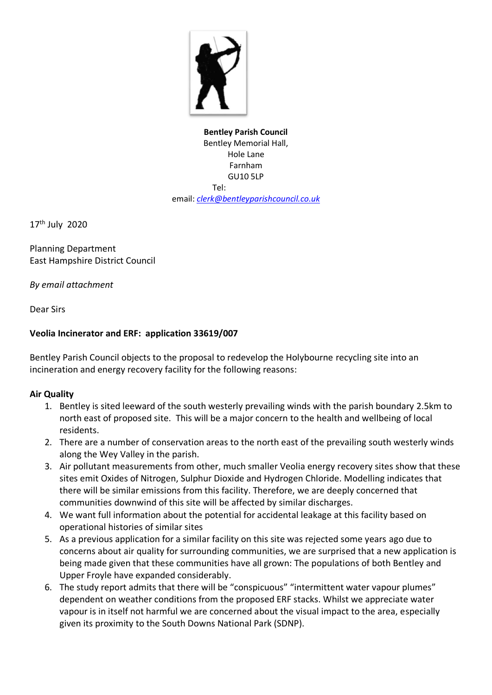

**Bentley Parish Council** Bentley Memorial Hall, Hole Lane Farnham GU10 5LP Tel: email: *[clerk@bentleyparishcouncil.co.uk](mailto:clerk@bentleyparishcouncil.co.uk)*

17 th July 2020

Planning Department East Hampshire District Council

*By email attachment*

Dear Sirs

# **Veolia Incinerator and ERF: application 33619/007**

Bentley Parish Council objects to the proposal to redevelop the Holybourne recycling site into an incineration and energy recovery facility for the following reasons:

#### **Air Quality**

- 1. Bentley is sited leeward of the south westerly prevailing winds with the parish boundary 2.5km to north east of proposed site. This will be a major concern to the health and wellbeing of local residents.
- 2. There are a number of conservation areas to the north east of the prevailing south westerly winds along the Wey Valley in the parish.
- 3. Air pollutant measurements from other, much smaller Veolia energy recovery sites show that these sites emit Oxides of Nitrogen, Sulphur Dioxide and Hydrogen Chloride. Modelling indicates that there will be similar emissions from this facility. Therefore, we are deeply concerned that communities downwind of this site will be affected by similar discharges.
- 4. We want full information about the potential for accidental leakage at this facility based on operational histories of similar sites
- 5. As a previous application for a similar facility on this site was rejected some years ago due to concerns about air quality for surrounding communities, we are surprised that a new application is being made given that these communities have all grown: The populations of both Bentley and Upper Froyle have expanded considerably.
- 6. The study report admits that there will be "conspicuous" "intermittent water vapour plumes" dependent on weather conditions from the proposed ERF stacks. Whilst we appreciate water vapour is in itself not harmful we are concerned about the visual impact to the area, especially given its proximity to the South Downs National Park (SDNP).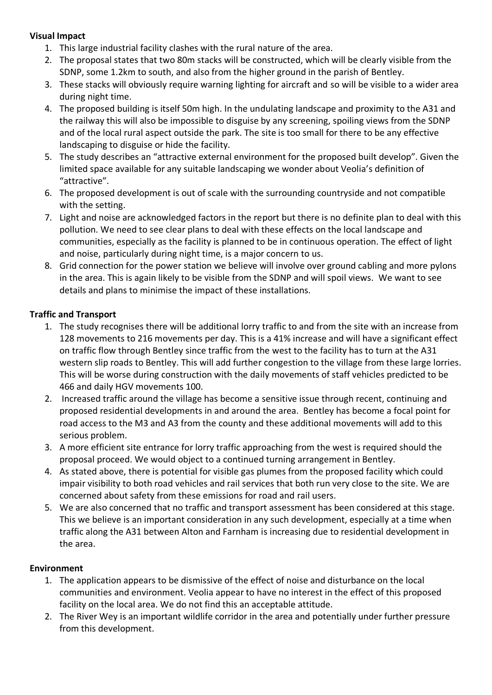### **Visual Impact**

- 1. This large industrial facility clashes with the rural nature of the area.
- 2. The proposal states that two 80m stacks will be constructed, which will be clearly visible from the SDNP, some 1.2km to south, and also from the higher ground in the parish of Bentley.
- 3. These stacks will obviously require warning lighting for aircraft and so will be visible to a wider area during night time.
- 4. The proposed building is itself 50m high. In the undulating landscape and proximity to the A31 and the railway this will also be impossible to disguise by any screening, spoiling views from the SDNP and of the local rural aspect outside the park. The site is too small for there to be any effective landscaping to disguise or hide the facility.
- 5. The study describes an "attractive external environment for the proposed built develop". Given the limited space available for any suitable landscaping we wonder about Veolia's definition of "attractive".
- 6. The proposed development is out of scale with the surrounding countryside and not compatible with the setting.
- 7. Light and noise are acknowledged factors in the report but there is no definite plan to deal with this pollution. We need to see clear plans to deal with these effects on the local landscape and communities, especially as the facility is planned to be in continuous operation. The effect of light and noise, particularly during night time, is a major concern to us.
- 8. Grid connection for the power station we believe will involve over ground cabling and more pylons in the area. This is again likely to be visible from the SDNP and will spoil views. We want to see details and plans to minimise the impact of these installations.

## **Traffic and Transport**

- 1. The study recognises there will be additional lorry traffic to and from the site with an increase from 128 movements to 216 movements per day. This is a 41% increase and will have a significant effect on traffic flow through Bentley since traffic from the west to the facility has to turn at the A31 western slip roads to Bentley. This will add further congestion to the village from these large lorries. This will be worse during construction with the daily movements of staff vehicles predicted to be 466 and daily HGV movements 100.
- 2. Increased traffic around the village has become a sensitive issue through recent, continuing and proposed residential developments in and around the area. Bentley has become a focal point for road access to the M3 and A3 from the county and these additional movements will add to this serious problem.
- 3. A more efficient site entrance for lorry traffic approaching from the west is required should the proposal proceed. We would object to a continued turning arrangement in Bentley.
- 4. As stated above, there is potential for visible gas plumes from the proposed facility which could impair visibility to both road vehicles and rail services that both run very close to the site. We are concerned about safety from these emissions for road and rail users.
- 5. We are also concerned that no traffic and transport assessment has been considered at this stage. This we believe is an important consideration in any such development, especially at a time when traffic along the A31 between Alton and Farnham is increasing due to residential development in the area.

#### **Environment**

- 1. The application appears to be dismissive of the effect of noise and disturbance on the local communities and environment. Veolia appear to have no interest in the effect of this proposed facility on the local area. We do not find this an acceptable attitude.
- 2. The River Wey is an important wildlife corridor in the area and potentially under further pressure from this development.